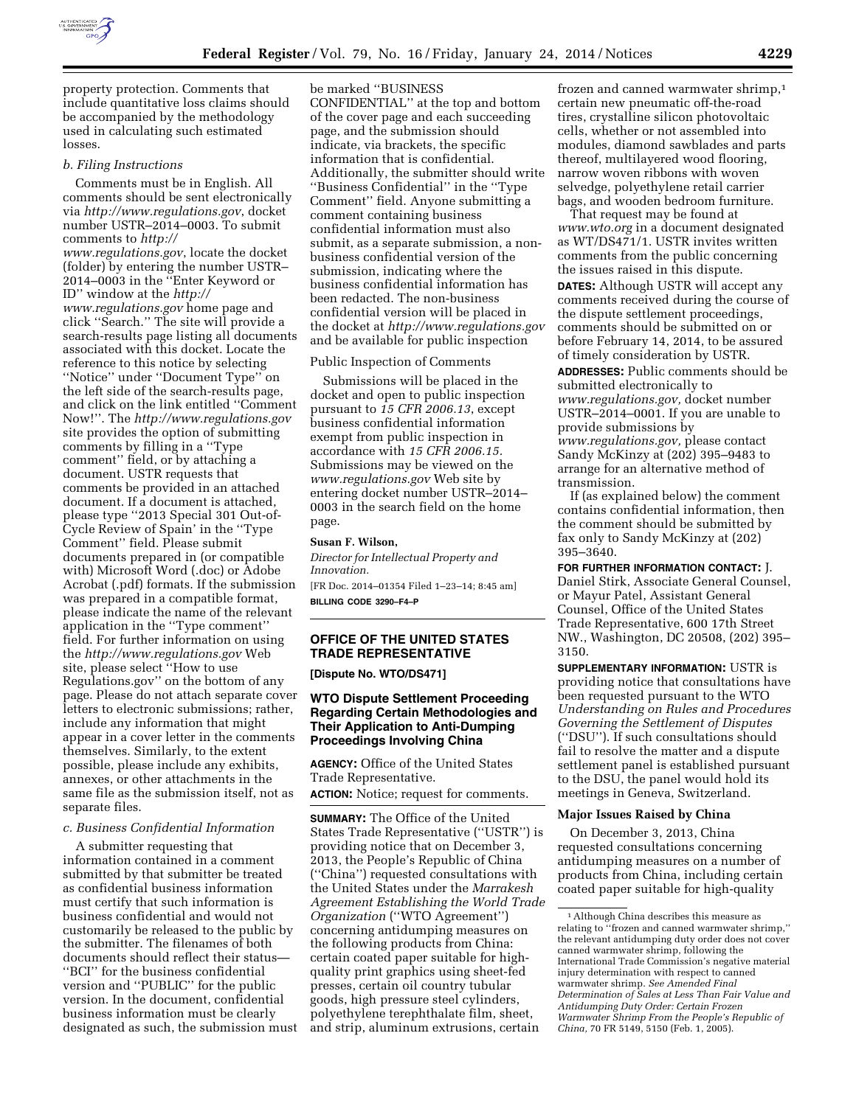

property protection. Comments that include quantitative loss claims should be accompanied by the methodology used in calculating such estimated losses.

# *b. Filing Instructions*

Comments must be in English. All comments should be sent electronically via *<http://www.regulations.gov>*, docket number USTR–2014–0003. To submit comments to *[http://](http://www.regulations.gov) [www.regulations.gov](http://www.regulations.gov)*, locate the docket (folder) by entering the number USTR– 2014–0003 in the ''Enter Keyword or ID'' window at the *[http://](http://www.regulations.gov) [www.regulations.gov](http://www.regulations.gov)* home page and click ''Search.'' The site will provide a search-results page listing all documents associated with this docket. Locate the reference to this notice by selecting ''Notice'' under ''Document Type'' on the left side of the search-results page, and click on the link entitled ''Comment Now!''. The *<http://www.regulations.gov>*  site provides the option of submitting comments by filling in a ''Type comment'' field, or by attaching a document. USTR requests that comments be provided in an attached document. If a document is attached, please type ''2013 Special 301 Out-of-Cycle Review of Spain' in the ''Type Comment'' field. Please submit documents prepared in (or compatible with) Microsoft Word (.doc) or Adobe Acrobat (.pdf) formats. If the submission was prepared in a compatible format, please indicate the name of the relevant application in the ''Type comment'' field. For further information on using the *<http://www.regulations.gov>*Web site, please select ''How to use Regulations.gov'' on the bottom of any page. Please do not attach separate cover letters to electronic submissions; rather, include any information that might appear in a cover letter in the comments themselves. Similarly, to the extent possible, please include any exhibits, annexes, or other attachments in the same file as the submission itself, not as separate files.

#### *c. Business Confidential Information*

A submitter requesting that information contained in a comment submitted by that submitter be treated as confidential business information must certify that such information is business confidential and would not customarily be released to the public by the submitter. The filenames of both documents should reflect their status— ''BCI'' for the business confidential version and ''PUBLIC'' for the public version. In the document, confidential business information must be clearly designated as such, the submission must be marked ''BUSINESS

CONFIDENTIAL'' at the top and bottom of the cover page and each succeeding page, and the submission should indicate, via brackets, the specific information that is confidential. Additionally, the submitter should write ''Business Confidential'' in the ''Type Comment'' field. Anyone submitting a comment containing business confidential information must also submit, as a separate submission, a nonbusiness confidential version of the submission, indicating where the business confidential information has been redacted. The non-business confidential version will be placed in the docket at *<http://www.regulations.gov>* and be available for public inspection

### Public Inspection of Comments

Submissions will be placed in the docket and open to public inspection pursuant to *15 CFR 2006.13*, except business confidential information exempt from public inspection in accordance with *15 CFR 2006.15.*  Submissions may be viewed on the *[www.regulations.gov](http://www.regulations.gov)* Web site by entering docket number USTR–2014– 0003 in the search field on the home page.

#### **Susan F. Wilson,**

*Director for Intellectual Property and Innovation.* 

[FR Doc. 2014–01354 Filed 1–23–14; 8:45 am] **BILLING CODE 3290–F4–P** 

# **OFFICE OF THE UNITED STATES TRADE REPRESENTATIVE**

**[Dispute No. WTO/DS471]** 

# **WTO Dispute Settlement Proceeding Regarding Certain Methodologies and Their Application to Anti-Dumping Proceedings Involving China**

**AGENCY:** Office of the United States Trade Representative.

**ACTION:** Notice; request for comments.

**SUMMARY:** The Office of the United States Trade Representative (''USTR'') is providing notice that on December 3, 2013, the People's Republic of China (''China'') requested consultations with the United States under the *Marrakesh Agreement Establishing the World Trade Organization* (''WTO Agreement'') concerning antidumping measures on the following products from China: certain coated paper suitable for highquality print graphics using sheet-fed presses, certain oil country tubular goods, high pressure steel cylinders, polyethylene terephthalate film, sheet, and strip, aluminum extrusions, certain

frozen and canned warmwater shrimp,1 certain new pneumatic off-the-road tires, crystalline silicon photovoltaic cells, whether or not assembled into modules, diamond sawblades and parts thereof, multilayered wood flooring, narrow woven ribbons with woven selvedge, polyethylene retail carrier bags, and wooden bedroom furniture.

That request may be found at *[www.wto.org](http://www.wto.org)* in a document designated as WT/DS471/1. USTR invites written comments from the public concerning the issues raised in this dispute. **DATES:** Although USTR will accept any comments received during the course of the dispute settlement proceedings, comments should be submitted on or before February 14, 2014, to be assured of timely consideration by USTR.

**ADDRESSES:** Public comments should be submitted electronically to *[www.regulations.gov,](http://www.regulations.gov)* docket number USTR–2014–0001. If you are unable to provide submissions by *[www.regulations.gov,](http://www.regulations.gov)* please contact Sandy McKinzy at (202) 395–9483 to arrange for an alternative method of transmission.

If (as explained below) the comment contains confidential information, then the comment should be submitted by fax only to Sandy McKinzy at (202) 395–3640.

**FOR FURTHER INFORMATION CONTACT:** J. Daniel Stirk, Associate General Counsel, or Mayur Patel, Assistant General Counsel, Office of the United States Trade Representative, 600 17th Street NW., Washington, DC 20508, (202) 395– 3150.

**SUPPLEMENTARY INFORMATION:** USTR is providing notice that consultations have been requested pursuant to the WTO *Understanding on Rules and Procedures Governing the Settlement of Disputes*  (''DSU''). If such consultations should fail to resolve the matter and a dispute settlement panel is established pursuant to the DSU, the panel would hold its meetings in Geneva, Switzerland.

### **Major Issues Raised by China**

On December 3, 2013, China requested consultations concerning antidumping measures on a number of products from China, including certain coated paper suitable for high-quality

<sup>1</sup>Although China describes this measure as relating to ''frozen and canned warmwater shrimp,'' the relevant antidumping duty order does not cover canned warmwater shrimp, following the International Trade Commission's negative material injury determination with respect to canned warmwater shrimp. *See Amended Final Determination of Sales at Less Than Fair Value and Antidumping Duty Order: Certain Frozen Warmwater Shrimp From the People's Republic of China,* 70 FR 5149, 5150 (Feb. 1, 2005).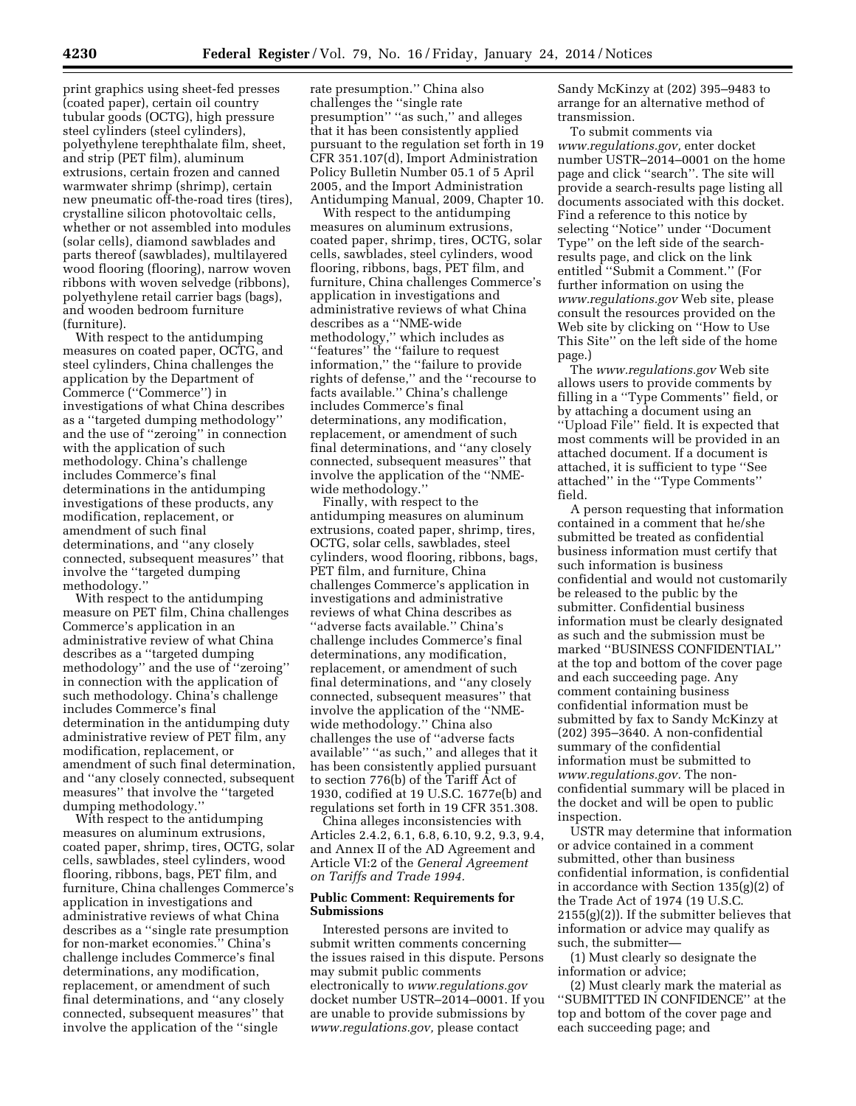print graphics using sheet-fed presses (coated paper), certain oil country tubular goods (OCTG), high pressure steel cylinders (steel cylinders), polyethylene terephthalate film, sheet, and strip (PET film), aluminum extrusions, certain frozen and canned warmwater shrimp (shrimp), certain new pneumatic off-the-road tires (tires), crystalline silicon photovoltaic cells, whether or not assembled into modules (solar cells), diamond sawblades and parts thereof (sawblades), multilayered wood flooring (flooring), narrow woven ribbons with woven selvedge (ribbons), polyethylene retail carrier bags (bags), and wooden bedroom furniture (furniture).

With respect to the antidumping measures on coated paper, OCTG, and steel cylinders, China challenges the application by the Department of Commerce (''Commerce'') in investigations of what China describes as a ''targeted dumping methodology'' and the use of ''zeroing'' in connection with the application of such methodology. China's challenge includes Commerce's final determinations in the antidumping investigations of these products, any modification, replacement, or amendment of such final determinations, and ''any closely connected, subsequent measures'' that involve the ''targeted dumping methodology.''

With respect to the antidumping measure on PET film, China challenges Commerce's application in an administrative review of what China describes as a ''targeted dumping methodology'' and the use of ''zeroing'' in connection with the application of such methodology. China's challenge includes Commerce's final determination in the antidumping duty administrative review of PET film, any modification, replacement, or amendment of such final determination, and ''any closely connected, subsequent measures'' that involve the ''targeted dumping methodology.''

With respect to the antidumping measures on aluminum extrusions, coated paper, shrimp, tires, OCTG, solar cells, sawblades, steel cylinders, wood flooring, ribbons, bags, PET film, and furniture, China challenges Commerce's application in investigations and administrative reviews of what China describes as a ''single rate presumption for non-market economies.'' China's challenge includes Commerce's final determinations, any modification, replacement, or amendment of such final determinations, and ''any closely connected, subsequent measures'' that involve the application of the ''single

rate presumption.'' China also challenges the ''single rate presumption" "as such," and alleges that it has been consistently applied pursuant to the regulation set forth in 19 CFR 351.107(d), Import Administration Policy Bulletin Number 05.1 of 5 April 2005, and the Import Administration Antidumping Manual, 2009, Chapter 10.

With respect to the antidumping measures on aluminum extrusions, coated paper, shrimp, tires, OCTG, solar cells, sawblades, steel cylinders, wood flooring, ribbons, bags, PET film, and furniture, China challenges Commerce's application in investigations and administrative reviews of what China describes as a ''NME-wide methodology,'' which includes as ''features'' the ''failure to request information,'' the ''failure to provide rights of defense,'' and the ''recourse to facts available.'' China's challenge includes Commerce's final determinations, any modification, replacement, or amendment of such final determinations, and ''any closely connected, subsequent measures'' that involve the application of the ''NMEwide methodology.''

Finally, with respect to the antidumping measures on aluminum extrusions, coated paper, shrimp, tires, OCTG, solar cells, sawblades, steel cylinders, wood flooring, ribbons, bags, PET film, and furniture, China challenges Commerce's application in investigations and administrative reviews of what China describes as ''adverse facts available.'' China's challenge includes Commerce's final determinations, any modification, replacement, or amendment of such final determinations, and ''any closely connected, subsequent measures'' that involve the application of the ''NMEwide methodology.'' China also challenges the use of ''adverse facts available'' ''as such,'' and alleges that it has been consistently applied pursuant to section 776(b) of the Tariff Act of 1930, codified at 19 U.S.C. 1677e(b) and regulations set forth in 19 CFR 351.308.

China alleges inconsistencies with Articles 2.4.2, 6.1, 6.8, 6.10, 9.2, 9.3, 9.4, and Annex II of the AD Agreement and Article VI:2 of the *General Agreement on Tariffs and Trade 1994.* 

#### **Public Comment: Requirements for Submissions**

Interested persons are invited to submit written comments concerning the issues raised in this dispute. Persons may submit public comments electronically to *[www.regulations.gov](http://www.regulations.gov)*  docket number USTR–2014–0001. If you are unable to provide submissions by *[www.regulations.gov,](http://www.regulations.gov)* please contact

Sandy McKinzy at (202) 395–9483 to arrange for an alternative method of transmission.

To submit comments via *[www.regulations.gov,](http://www.regulations.gov)* enter docket number USTR–2014–0001 on the home page and click ''search''. The site will provide a search-results page listing all documents associated with this docket. Find a reference to this notice by selecting ''Notice'' under ''Document Type'' on the left side of the searchresults page, and click on the link entitled ''Submit a Comment.'' (For further information on using the *[www.regulations.gov](http://www.regulations.gov)* Web site, please consult the resources provided on the Web site by clicking on ''How to Use This Site'' on the left side of the home page.)

The *[www.regulations.gov](http://www.regulations.gov)* Web site allows users to provide comments by filling in a ''Type Comments'' field, or by attaching a document using an ''Upload File'' field. It is expected that most comments will be provided in an attached document. If a document is attached, it is sufficient to type ''See attached'' in the ''Type Comments'' field.

A person requesting that information contained in a comment that he/she submitted be treated as confidential business information must certify that such information is business confidential and would not customarily be released to the public by the submitter. Confidential business information must be clearly designated as such and the submission must be marked ''BUSINESS CONFIDENTIAL'' at the top and bottom of the cover page and each succeeding page. Any comment containing business confidential information must be submitted by fax to Sandy McKinzy at (202) 395–3640. A non-confidential summary of the confidential information must be submitted to *[www.regulations.gov.](http://www.regulations.gov)* The nonconfidential summary will be placed in the docket and will be open to public inspection.

USTR may determine that information or advice contained in a comment submitted, other than business confidential information, is confidential in accordance with Section 135(g)(2) of the Trade Act of 1974 (19 U.S.C. 2155(g)(2)). If the submitter believes that information or advice may qualify as such, the submitter—

(1) Must clearly so designate the information or advice;

(2) Must clearly mark the material as ''SUBMITTED IN CONFIDENCE'' at the top and bottom of the cover page and each succeeding page; and